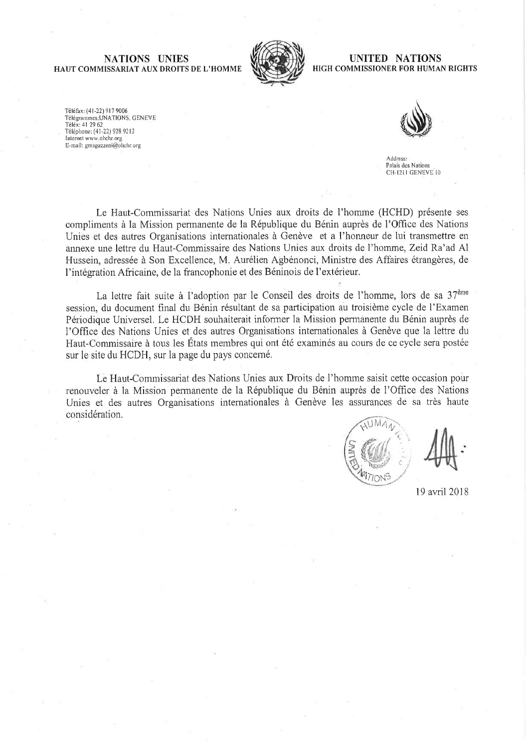#### NATIONS UNIES HAUT COMMISSARIAT AUX DROITS DE L'HOMME



### UNITED NATIONS HIGH COMMISSIONER FOR HUMAN RIGHTS

T616fax. (4)-22) 917 9006 Télégrammes: UNATIONS, GENEVE Téléx: 41 29 62 T616phone: (41-22) 928 9212 [nlernel www.olichr.org e-mail: gmagazzeni@olichr.



Address: Palais des Nations CH-1211 GENEVE 10

Le Haut-Commissariat des Nations Unies aux droits de l'homme (HCHD) présente ses compliments à la Mission permanente de la République du Bénin auprès de l'Office des Nations Unies et des autres Organisations internationales à Genève et a l'honneur de lui transmettre en annexe une lettre du Haut-Commissaire des Nations Unies aux droits de l'homme, Zeid Ra'ad Al Hussein, adressée à Son Excellence, M. Aurélien Agbénonci, Ministre des Affaires étrangères, de l'intégration Africaine, de la francophonie et des Béninois de l'extérieur.

La lettre fait suite à l'adoption par le Conseil des droits de l'homme, lors de sa  $37^{\text{hme}}$ session, du document final du Bénin résultant de sa participation au troisième cycle de l'Examen Périodique Universel. Le HCDH souhaiterait informer la Mission permanente du Bénin auprès de l'Office des Nations Unies et des autres Organisations internationales à Genève que la lettre du Haut-Commissaire à tous les États membres qui ont été examinés au cours de ce cycle sera postée sur le site du HCDH, sur la page du pays concern6.

Le Haut-Commissariat des Nations Unies aux Droits de l'homme saisit cette occasion pour renouveler à la Mission permanente de la République du Bénin auprès de l'Office des Nations Unies et des autres Organisations internationales à Genève les assurances de sa très haute considération.

19 avril 2018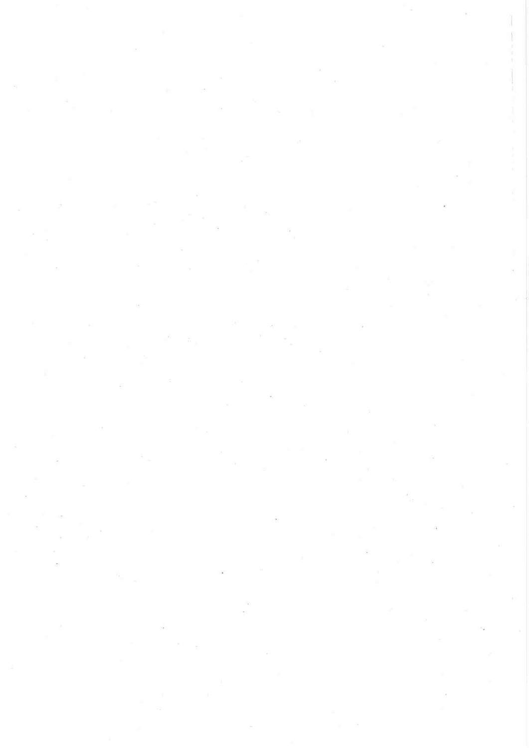$\label{eq:2.1} \begin{array}{ccccc} & & & & & 1 & & & \\ & & \ddots & & & & \\ & & & \ddots & & & \\ & & & & 2 & & \\ & & & & & 3 \end{array}$  $\label{eq:3.1} \begin{array}{cccccccccc} \mathbf{g} & & & & & \mathbf{0} & & & \\ & \mathbf{g} & & & & & \mathbf{0} & & \\ & \mathbf{g} & & & & & \mathbf{0} & & \\ & \mathbf{g} & & & & & \mathbf{0} & & \\ & \mathbf{g} & & & & & \mathbf{0} & & \\ & \mathbf{g} & & & & & \mathbf{0} & & \\ & \mathbf{g} & & & & & \mathbf{0} & & \\ & \mathbf{g} & & & & & \mathbf{0} & & \\ & \mathbf{g} & & & & & \mathbf{0} & & \\ & \mathbf{g} & & & & & \$  $\pi^0 = -\pi_{\rm eff}$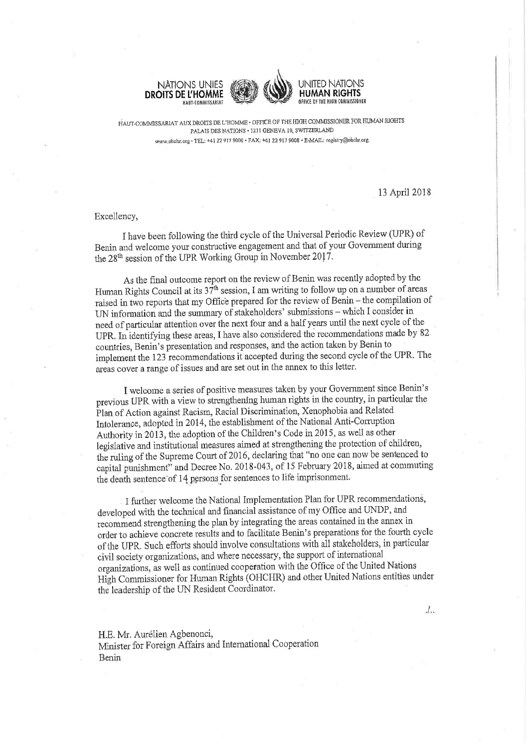



**HUMAN RIGHTS** OFFICE OF THE HIGH COMMISSIONER

HAUT-COMMISSARIAT AUX DROITS DE L'HOMME · OFFICE OF THE HIGH COMMISSIONER FOR HUMAN RIGHTS PALAIS DES NATIONS · 1211 GENEVA 10, SWITZERLAND www.ohchr.org · TEL: +41 22 917 9000 · FAX: +41 22 917 9008 · E-MAIL: registry@ohchr.org

13 April 2018

#### Excellency,

I have been following the third cycle of the Universal Periodic Review (UPR) of Benin and welcome your constructive engagement and that of your Government during the 28<sup>th</sup> session of the UPR Working Group in November 2017.

As the final outcome report on the review of Benin was recently adopted by the Human Rights Council at its  $37^{\text{th}}$  session, I am writing to follow up on a number of areas raised in two reports that my Office prepared for the review of Benin - the compilation of UN information and the summary of stakeholders' submissions - which I consider in need of particular attention over the next four and a half years until the next cycle of the UPR. In identifying these areas, I have also considered the recommendations made by 82 countries, Benin's presentation and responses, and the action taken by Benin to implement the 123 recommendations it accepted during the second cycle of the UPR. The areas cover a range of issues and are set out in the annex to this letter.

I welcome a series of positive measures taken by your Government since Benin's previous UPR with a view to strengthening human rights in the country, in particular the Plan of Action against Racism, Racial Discrimination, Xenophobia and Related Intolerance, adopted in 2014, the establishment of the National Anti-Corruption Authority in 2013, the adoption of the Children's Code in 2015, as well as other legislative and institutional measures aimed at strengthening the protection of children, the ruling of the Supreme Court of 2016, declaring that "no one can now be sentenced to capital punishment" and Decree No. 2018-043, of 15 February 2018, aimed at commuting the death sentence of 14 persons for sentences to life imprisonment.

I further welcome the National Implementation Plan for UPR recommendations, developed with the technical and financial assistance of my Office and UNDP, and recommend strengthening the plan by integrating the areas contained in the annex in order to achieve concrete results and to facilitate Benin's preparations for the fourth cycle of the UPR. Such efforts should involve consultations with all stakeholders, in particular civil society organizations, and where necessary, the support of international organizations, as well as continued cooperation with the Office of the United Nations High Commissioner for Human Rights (OHCHR) and other United Nations entities under the leadership of the UN Resident Coordinator.

 $\Lambda$ .

H.E. Mr. Aurélien Agbenonci, Minister for Foreign Affairs and International Cooperation Benin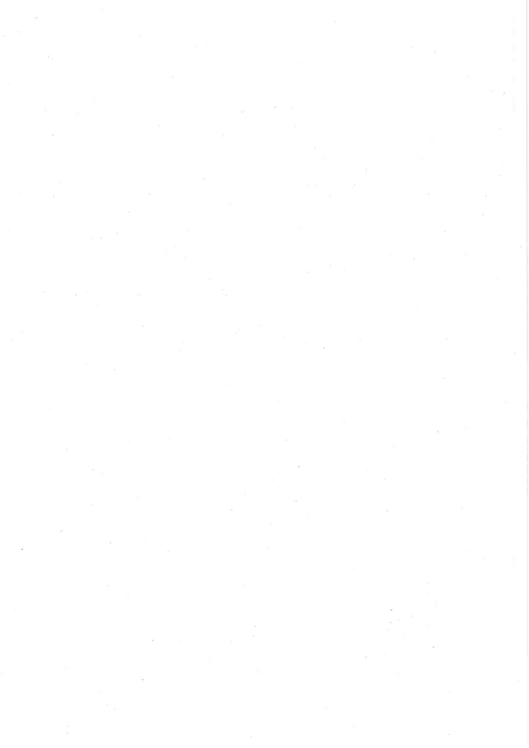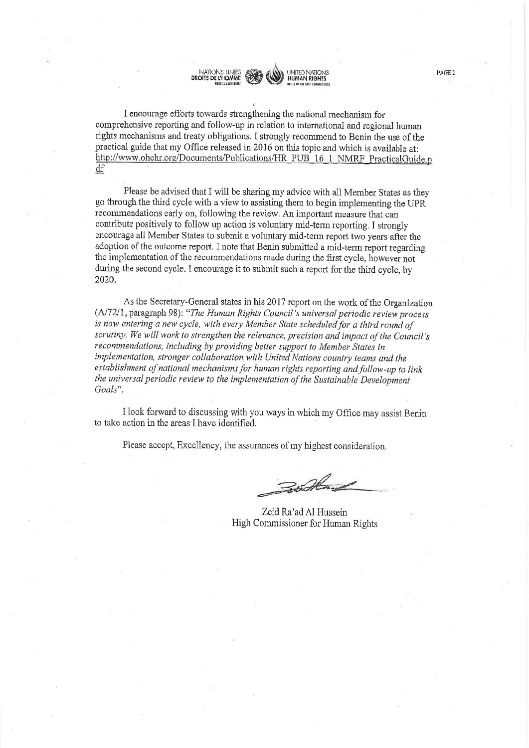UNITED NATIONS<br>HUMAN RIGHTS

I encourage efforts towards strengthening the national mechanism for comprehensive reporting and follow-up in relation to international and regional human rights mechanisms and treaty obligations. I strongly recommend to Benin the use of the practical guide that my Office released in 2016 on this topic and wbich is available at: http://www.ohchr.org/Documents/Publications/HR PUB 161 NMRF PracticalGuide.p df'

Please be advised that I will be sharing my advice with all Member States as they go through the third cycle with a view to assisting them to begin implementing the UPR recommendations early on, following the review. An important measure that can contribute positively to follow up action is voluntary mid-term reporting. I strongly encourage all Member States to submit a voluntary mid-term repotl two years after the adoption of the outcome report. I note that Benin submitted a mid-term report regarding the implementation of the recommendations made during the first cycle, however not during the second cycle, I encourage it to submit such a report forthe third cycle, by 2020,

As the Secretary-General states in his 2017 report on the work of the Organization (A/72/1, paragraph 98): "The Human Rights Council's universal periodic review process is now entering a new cycle, with every Member State scheduled for a third round of scrutiny. We will work to strengthen the relevance, precision and impact of the Council's recommendations, including by providing better support to Member States in implementation, stronger collaboration with United Nations country teams and the establishment of national mechanisms for human rights reporting and follow-up to link the universal periodic review to the implementation of the Sustainable Development Goals".

I look forwatd to discussing with you ways in whichmy Office may assist Benin to talce action inthe areas I have identified.

Please accept, Excellency, the assurances of my highest consideration.

 $2$ stolland

Zeid Ra'ad Al Hussein High Commissioner for Human Rights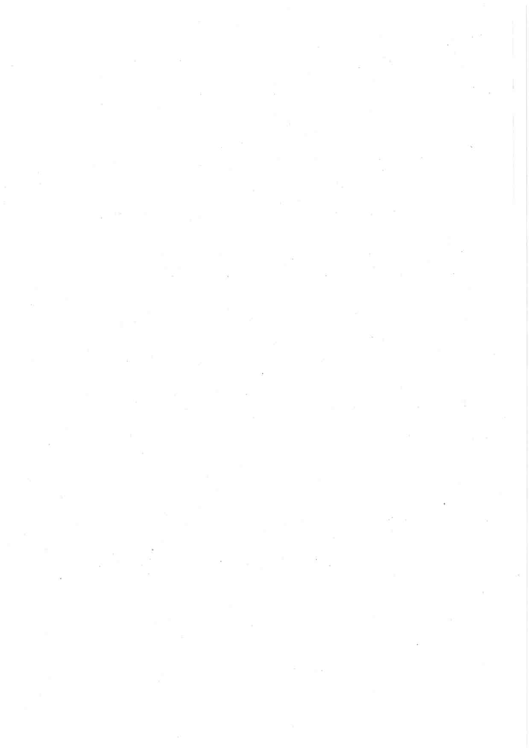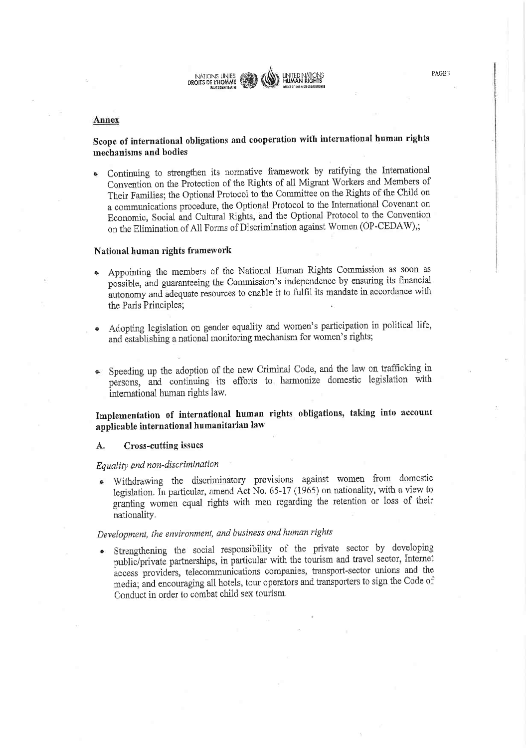

#### Annex

# Scope of international obligations and cooperation with international human rights mechanisms and bodies

Continuing to strengthen its normative framework by ratifying the International Convention on the Protection of the Rights of all Migrant Workers and Members of Their Families; the Optional Protocol to the Committee on the Rights of the Child on a communications procedure, the Optional Protocol to the International Covenant on Economic, Social and Cultural Rights, and the Optional Protocol to the Convention on the Elimination of All Forms of Discrimination against Women (OP-CEDAW),;

# National human rights framework

- Appointing the members of the National Human Rights Commission as soon as possible, and guaranteeing the Commission's independence by ensuring its financial autonomy and adequate resources to enable it to fulfil its mandate in accordance with the Paris Principles;
- Adopting legislation on gender equality and women's participation in political life, and establishing a national monitoring mechanism for women's rights;
- Speeding up the adoption of the new Criminal Code, and the law on trafficking in persons, and continuing its efforts to harmonize domestic legislation with international human rights law.

Implementation of international human rights obligations, taking into account applicable international humanitarian law

#### **Cross-cutting issues** A.

Equality and non-discrimination

Withdrawing the discriminatory provisions against women from domestic  $\bullet$ legislation. In particular, amend Act No. 65-17 (1965) on nationality, with a view to granting women equal rights with men regarding the retention or loss of their nationality.

# Development, the environment, and business and human rights

Strengthening the social responsibility of the private sector by developing public/private partnerships, in particular with the tourism and travel sector, Internet access providers, telecommunications companies, transport-sector unions and the media; and encouraging all hotels, tour operators and transporters to sign the Code of Conduct in order to combat child sex tourism.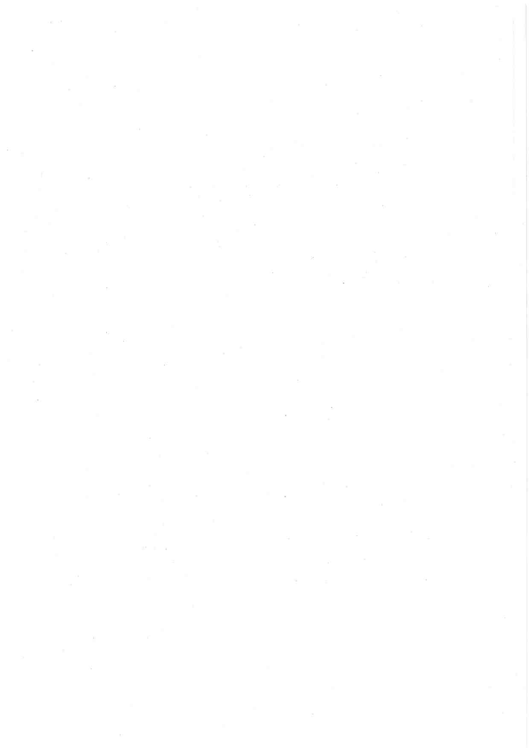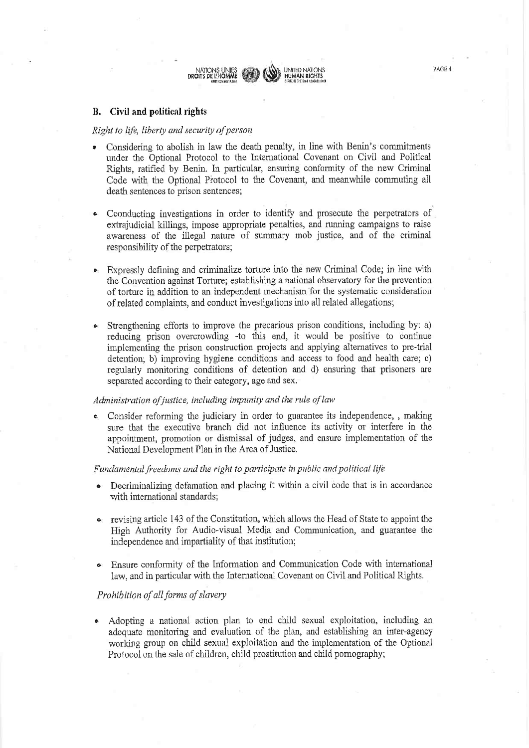# NATIONS UNIES<br>DROITS DE L'HOMME

#### B. Civil and political rights

#### Right to life, liberty and security of person

- Considering to abolish in law the death penalty, in line with Benin's commitments under the Optional Protocol to the International Covenant on Civil and Political Rights, ratified by Benin. In particular, ensuring conformity of the new Criminal Code with the Optional Protocol to the Covenant, and meanwhile commuting all death sentences to piison sentences;
- Cconducting investigations in order to identify and prosecute the perpetrators of extrajudicial killings, impose appropriate penalties, and running campaigns to raise awareness of the illegal nature of summary mob justice, and of the criminal responsibility of the perpetrators;
- Expressly defining and criminalize torture into the new Criminal Code; in line with the Convention against Torture; establishing a national observatory for the prevention of torture in addition to an independent mechanism 'for the systematic consideration of related complaints, and conduct investigations into all related allegations;
- Strengthening efforts to improve the precarious prison conditions, including by: a) reducing prison overcrowding -to this end, it would be positive to continue implementing the prison construction projects and applying alternatives to pre-trial detention; b) improving hygiene conditions and access to food and health care; c) regularly monitoring conditions of detention and d) ensuring that prisoners are separated according to their category, age and sex.

# Administration of justice, including impunity and the rule of law

\* Consider reforming the judiciary in order to guarantee its independence, , making sure that the executive branch did not influence its activity or interfere in the appointment, promotion or dismissal of judges, and ensure implementation of the National Development Plan in the Area of Justice.

#### Fundamental freedoms and the right to participate in public and political life

- Decriminalizing defamation and placing it within a civil code that is in accordance with international standards;
- revising article 143 of the Constitution, which allows the Head of State to appoint the High Authority for Audio-visual Media and Communication, and guarantee the independence and impartiality of that institution;
- Ensure conformity of the Information and Communication Code with international law, and in particular with the International Covenant on Civil and Political Rights.

#### Prohibition of all forms of slavery

Adopting a national action plan to end child sexual exploitation, including an adequate monitoring and evaluation of the plan, and establishing an inter-agency working group on child sexual exploitation and the implementation of the Optional Protocol on the sale of children, child prostitution and child pomography;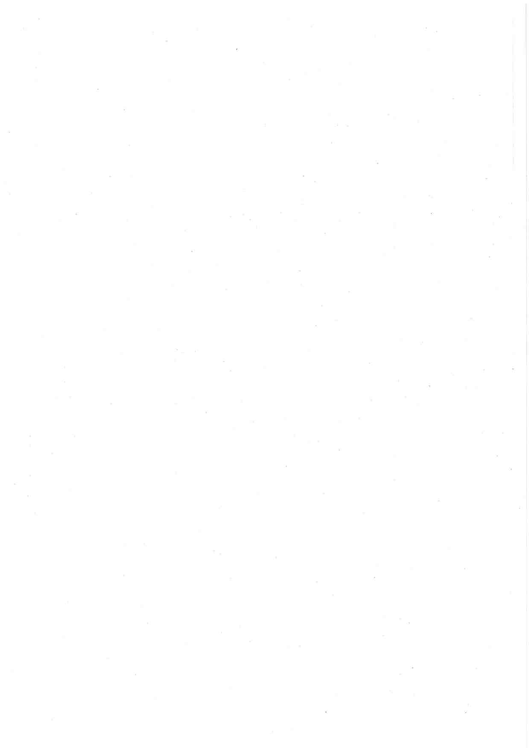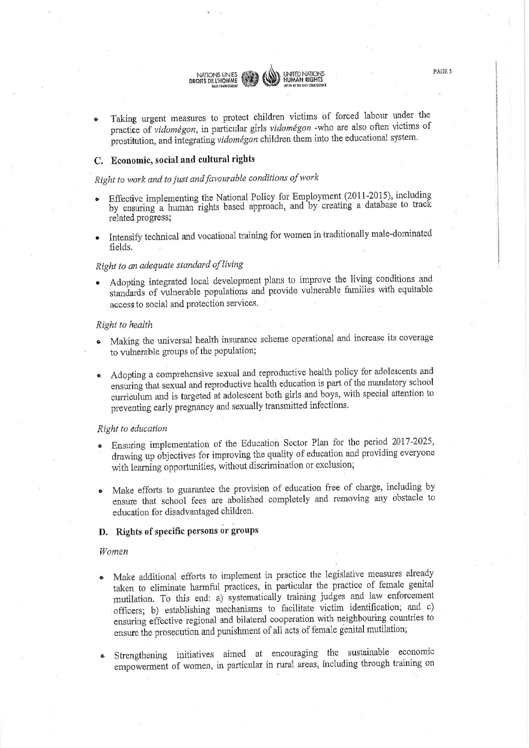Taking urgent measures to protect children victims of forced labour under the practice of vidomégon, in particular girls vidomégon -who are also often victims of prostitution, and integrating vidomégon children them into the educational system.

UNITED NATIONS<br>HUMAN RIGHTS

# C. Economic, social and cultural rights

Right to work and to just and favourable conditions of work

NATIONS UNIES<br>DROITS DE L'HOMME

- Effective implementing the National Policy for Employment (2011-2015), including by ensuring a human rights based approach, and by creating a database to track related progress;
- Intensify technical and vocational training for women in traditionally male-dominated fields.

# Right to an adequate standard of living

Adopting integrated local development plans to improve the living conditions and standards of vulnerable populations and provide vulnerable families with equitable access to social and protection services.

#### Right to health

- Making the universal health insurance scheme operational and increase its coverage to vulnerable groups of the population;
- Adopting a comprehensive sexual and reproductive health policy for adolescents and  $\bullet$ ensuring that sexual and reproductive health education is part of the mandatory school curriculum and is targeted at adolescent both girls and boys, with special attention to preventing early pregnancy and sexually transmitted infections.

#### Right to education

- Ensuring implementation of the Education Sector Plan for the period 2017-2025, drawing up objectives for improving the quality of education and providing everyone with learning opportunities, without discrimination or exclusion;
- Make efforts to guarantee the provision of education free of charge, including by ensure that school fees are abolished completely and removing any obstacle to education for disadvantaged children.

# D. Rights of specific persons or groups

#### Women

- Make additional efforts to implement in practice the legislative measures already taken to eliminate harmful practices, in particular the practice of female genital mutilation. To this end: a) systematically training judges and law enforcement officers; b) establishing mechanisms to facilitate victim identification; and c) ensuring effective regional and bilateral cooperation with neighbouring countries to ensure the prosecution and punishment of all acts of female genital mutilation;
- Strengthening initiatives aimed at encouraging the sustainable economic empowerment of women, in particular in rural areas, including through training on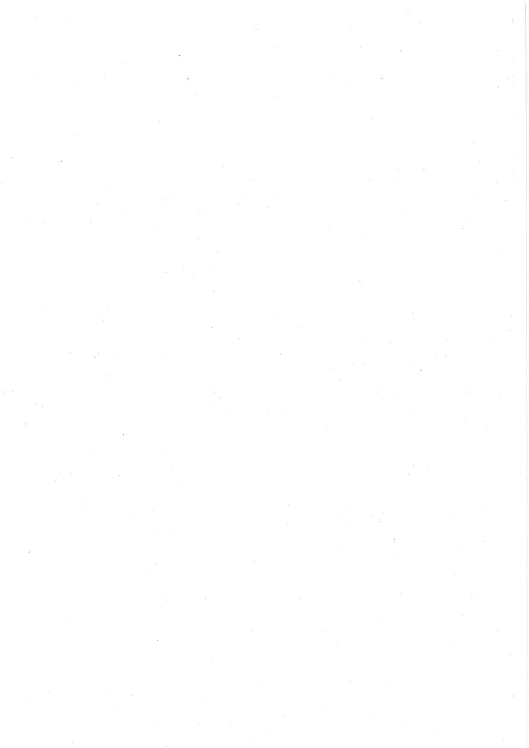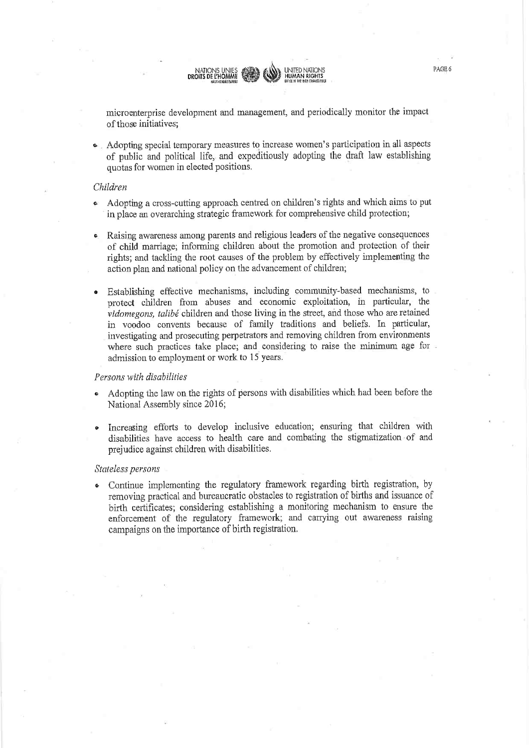microenterprise development and management, and periodically monitor the impact of those initiatives;

• Adopting special temporary measures to increase women's participation in all aspects of public and political life, and expeditiously adopting the draft law establishing quotas for women in elected positions.

#### Children

- \* Adopting a cross-cutting approach centred on children's rights and which aims to put in place an overarching strategic framework for comprehensive child protection;
- Raising awareness among parents and religious leaders of the negative consequences of child marriage; informing children about the promotion and protection of their rights; and tackling the root causes of the problem by effectively implementing the action plan and national policy on the advancement of children;
- Establishing effective mechanisms, including community-based mechanisms, to protect children from abuses and economic exploitation, in particular, the vidomegons, talibé children and those living in the street, and those who are retained in voodoo convents because of family traditions and beliefs. In particular, investigating and prosecuting perpetrators and removing children from environments where such practices take place; and considering to raise the minimum age for admission to employment or work to 15 years.

# Persons with disabilities

- \* Adopting the law on the rights of persons with disabilities which had been before the National Assembly since 2016;
- Increasing efforts to develop inclusive education; ensuring that children with disabilities have access to health care and combating the stigmatization of and prejudice against children with disabilities.

#### Stateless persons

Continue implementing the regulatory framework regarding birth registration, by removing practical and bureaucratic obstacles to registration of births and issuance of birth certificates; considering establishing a monitoring mechanism to ensure the enforcement of the regulatory framework; and carrying out awareness raising campaigns on the importance of birth registration.